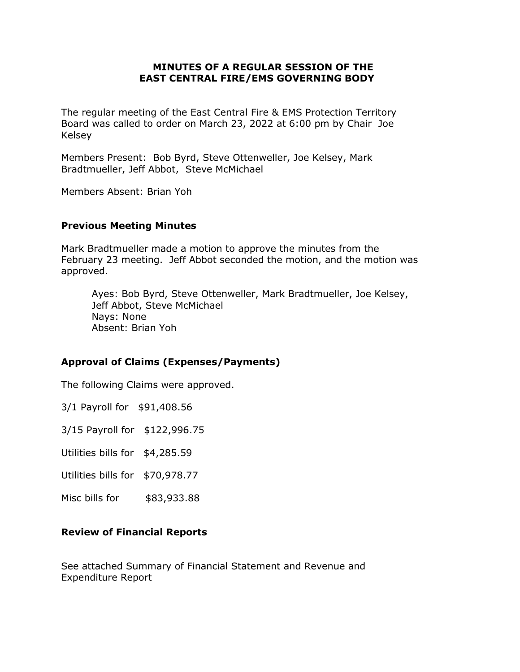#### **MINUTES OF A REGULAR SESSION OF THE EAST CENTRAL FIRE/EMS GOVERNING BODY**

The regular meeting of the East Central Fire & EMS Protection Territory Board was called to order on March 23, 2022 at 6:00 pm by Chair Joe Kelsey

Members Present: Bob Byrd, Steve Ottenweller, Joe Kelsey, Mark Bradtmueller, Jeff Abbot, Steve McMichael

Members Absent: Brian Yoh

#### **Previous Meeting Minutes**

Mark Bradtmueller made a motion to approve the minutes from the February 23 meeting. Jeff Abbot seconded the motion, and the motion was approved.

Ayes: Bob Byrd, Steve Ottenweller, Mark Bradtmueller, Joe Kelsey, Jeff Abbot, Steve McMichael Nays: None Absent: Brian Yoh

## **Approval of Claims (Expenses/Payments)**

The following Claims were approved.

3/1 Payroll for \$91,408.56

3/15 Payroll for \$122,996.75

Utilities bills for \$4,285.59

Utilities bills for \$70,978.77

Misc bills for  $$83,933.88$ 

#### **Review of Financial Reports**

See attached Summary of Financial Statement and Revenue and Expenditure Report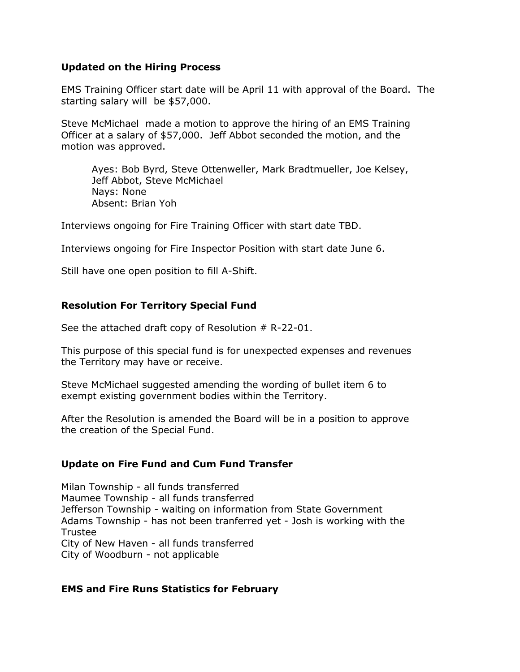#### **Updated on the Hiring Process**

EMS Training Officer start date will be April 11 with approval of the Board. The starting salary will be \$57,000.

Steve McMichael made a motion to approve the hiring of an EMS Training Officer at a salary of \$57,000. Jeff Abbot seconded the motion, and the motion was approved.

Ayes: Bob Byrd, Steve Ottenweller, Mark Bradtmueller, Joe Kelsey, Jeff Abbot, Steve McMichael Nays: None Absent: Brian Yoh

Interviews ongoing for Fire Training Officer with start date TBD.

Interviews ongoing for Fire Inspector Position with start date June 6.

Still have one open position to fill A-Shift.

## **Resolution For Territory Special Fund**

See the attached draft copy of Resolution  $# R-22-01.$ 

This purpose of this special fund is for unexpected expenses and revenues the Territory may have or receive.

Steve McMichael suggested amending the wording of bullet item 6 to exempt existing government bodies within the Territory.

After the Resolution is amended the Board will be in a position to approve the creation of the Special Fund.

## **Update on Fire Fund and Cum Fund Transfer**

Milan Township - all funds transferred Maumee Township - all funds transferred Jefferson Township - waiting on information from State Government Adams Township - has not been tranferred yet - Josh is working with the Trustee City of New Haven - all funds transferred City of Woodburn - not applicable

#### **EMS and Fire Runs Statistics for February**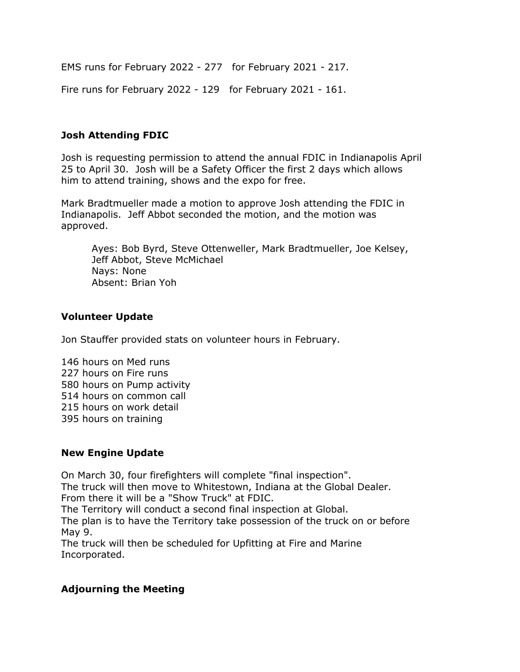EMS runs for February 2022 - 277 for February 2021 - 217.

Fire runs for February 2022 - 129 for February 2021 - 161.

# **Josh Attending FDIC**

Josh is requesting permission to attend the annual FDIC in Indianapolis April 25 to April 30. Josh will be a Safety Officer the first 2 days which allows him to attend training, shows and the expo for free.

Mark Bradtmueller made a motion to approve Josh attending the FDIC in Indianapolis. Jeff Abbot seconded the motion, and the motion was approved.

Ayes: Bob Byrd, Steve Ottenweller, Mark Bradtmueller, Joe Kelsey, Jeff Abbot, Steve McMichael Nays: None Absent: Brian Yoh

## **Volunteer Update**

Jon Stauffer provided stats on volunteer hours in February.

146 hours on Med runs 227 hours on Fire runs 580 hours on Pump activity 514 hours on common call 215 hours on work detail 395 hours on training

## **New Engine Update**

On March 30, four firefighters will complete "final inspection". The truck will then move to Whitestown, Indiana at the Global Dealer. From there it will be a "Show Truck" at FDIC. The Territory will conduct a second final inspection at Global. The plan is to have the Territory take possession of the truck on or before May 9. The truck will then be scheduled for Upfitting at Fire and Marine Incorporated.

## **Adjourning the Meeting**